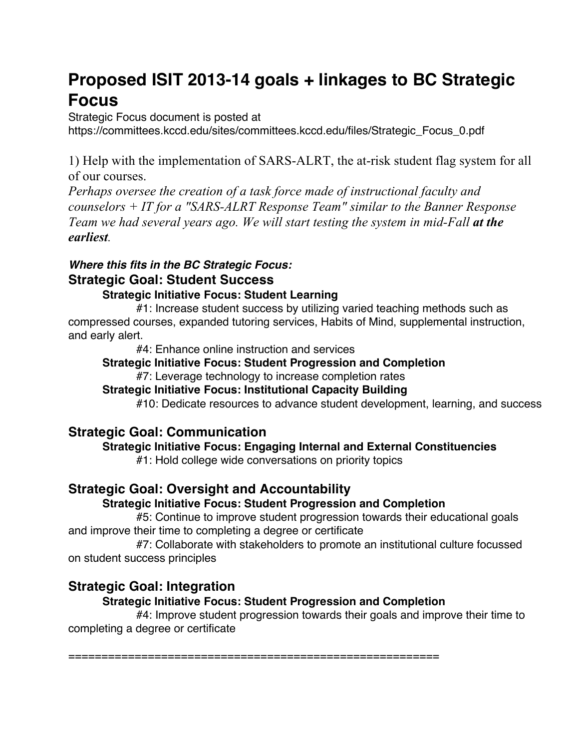# **Proposed ISIT 2013-14 goals + linkages to BC Strategic Focus**

Strategic Focus document is posted at

https://committees.kccd.edu/sites/committees.kccd.edu/files/Strategic\_Focus\_0.pdf

1) Help with the implementation of SARS-ALRT, the at-risk student flag system for all of our courses.

*Perhaps oversee the creation of a task force made of instructional faculty and counselors + IT for a "SARS-ALRT Response Team" similar to the Banner Response Team we had several years ago. We will start testing the system in mid-Fall at the earliest.*

# *Where this fits in the BC Strategic Focus:* **Strategic Goal: Student Success**

# **Strategic Initiative Focus: Student Learning**

#1: Increase student success by utilizing varied teaching methods such as compressed courses, expanded tutoring services, Habits of Mind, supplemental instruction, and early alert.

#4: Enhance online instruction and services

# **Strategic Initiative Focus: Student Progression and Completion**

#7: Leverage technology to increase completion rates

# **Strategic Initiative Focus: Institutional Capacity Building**

#10: Dedicate resources to advance student development, learning, and success

# **Strategic Goal: Communication**

# **Strategic Initiative Focus: Engaging Internal and External Constituencies**

#1: Hold college wide conversations on priority topics

# **Strategic Goal: Oversight and Accountability**

# **Strategic Initiative Focus: Student Progression and Completion**

#5: Continue to improve student progression towards their educational goals and improve their time to completing a degree or certificate

#7: Collaborate with stakeholders to promote an institutional culture focussed on student success principles

# **Strategic Goal: Integration**

# **Strategic Initiative Focus: Student Progression and Completion**

#4: Improve student progression towards their goals and improve their time to completing a degree or certificate

========================================================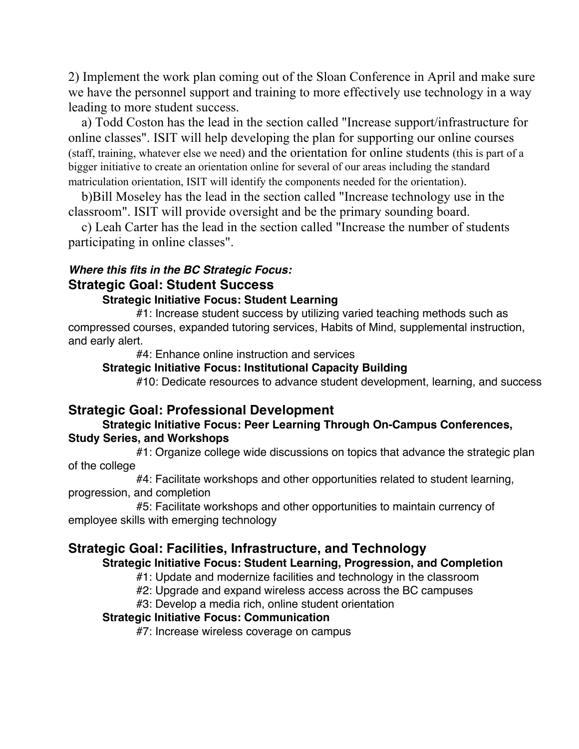2) Implement the work plan coming out of the Sloan Conference in April and make sure we have the personnel support and training to more effectively use technology in a way leading to more student success.

 a) Todd Coston has the lead in the section called "Increase support/infrastructure for online classes". ISIT will help developing the plan for supporting our online courses (staff, training, whatever else we need) and the orientation for online students (this is part of a bigger initiative to create an orientation online for several of our areas including the standard matriculation orientation, ISIT will identify the components needed for the orientation).

 b)Bill Moseley has the lead in the section called "Increase technology use in the classroom". ISIT will provide oversight and be the primary sounding board.

 c) Leah Carter has the lead in the section called "Increase the number of students participating in online classes".

### *Where this fits in the BC Strategic Focus:* **Strategic Goal: Student Success**

#### **Strategic Initiative Focus: Student Learning**

#1: Increase student success by utilizing varied teaching methods such as compressed courses, expanded tutoring services, Habits of Mind, supplemental instruction, and early alert.

#4: Enhance online instruction and services

#### **Strategic Initiative Focus: Institutional Capacity Building**

#10: Dedicate resources to advance student development, learning, and success

# **Strategic Goal: Professional Development**

#### **Strategic Initiative Focus: Peer Learning Through On-Campus Conferences, Study Series, and Workshops**

#1: Organize college wide discussions on topics that advance the strategic plan of the college

#4: Facilitate workshops and other opportunities related to student learning, progression, and completion

#5: Facilitate workshops and other opportunities to maintain currency of employee skills with emerging technology

# **Strategic Goal: Facilities, Infrastructure, and Technology**

#### **Strategic Initiative Focus: Student Learning, Progression, and Completion**

#1: Update and modernize facilities and technology in the classroom

- #2: Upgrade and expand wireless access across the BC campuses
- #3: Develop a media rich, online student orientation

#### **Strategic Initiative Focus: Communication**

#7: Increase wireless coverage on campus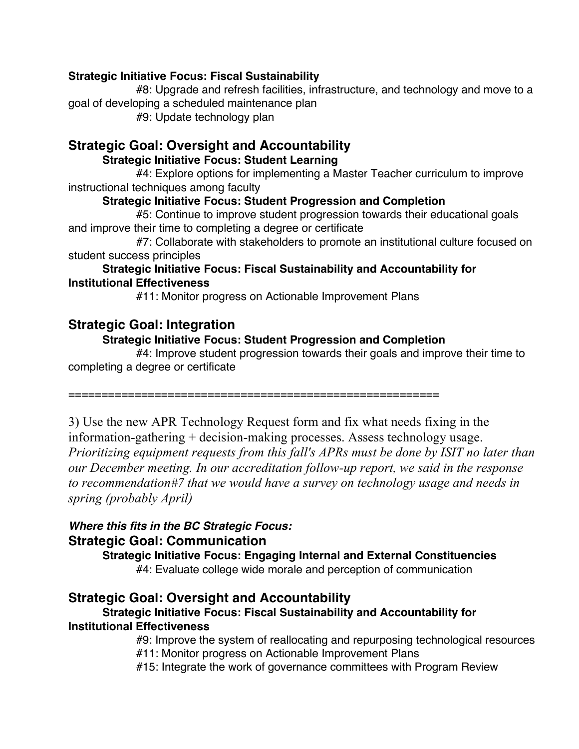#### **Strategic Initiative Focus: Fiscal Sustainability**

#8: Upgrade and refresh facilities, infrastructure, and technology and move to a goal of developing a scheduled maintenance plan

#9: Update technology plan

# **Strategic Goal: Oversight and Accountability**

#### **Strategic Initiative Focus: Student Learning**

#4: Explore options for implementing a Master Teacher curriculum to improve instructional techniques among faculty

### **Strategic Initiative Focus: Student Progression and Completion**

#5: Continue to improve student progression towards their educational goals and improve their time to completing a degree or certificate

#7: Collaborate with stakeholders to promote an institutional culture focused on student success principles

#### **Strategic Initiative Focus: Fiscal Sustainability and Accountability for Institutional Effectiveness**

#11: Monitor progress on Actionable Improvement Plans

# **Strategic Goal: Integration**

# **Strategic Initiative Focus: Student Progression and Completion**

#4: Improve student progression towards their goals and improve their time to completing a degree or certificate

========================================================

3) Use the new APR Technology Request form and fix what needs fixing in the information-gathering + decision-making processes. Assess technology usage. *Prioritizing equipment requests from this fall's APRs must be done by ISIT no later than our December meeting. In our accreditation follow-up report, we said in the response to recommendation#7 that we would have a survey on technology usage and needs in spring (probably April)*

### *Where this fits in the BC Strategic Focus:* **Strategic Goal: Communication**

**Strategic Initiative Focus: Engaging Internal and External Constituencies** #4: Evaluate college wide morale and perception of communication

# **Strategic Goal: Oversight and Accountability**

### **Strategic Initiative Focus: Fiscal Sustainability and Accountability for Institutional Effectiveness**

#9: Improve the system of reallocating and repurposing technological resources #11: Monitor progress on Actionable Improvement Plans

#15: Integrate the work of governance committees with Program Review